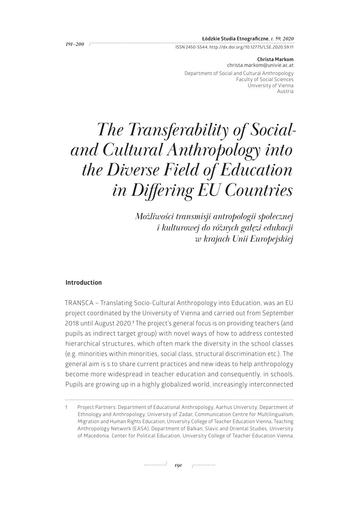|           | Łódzkie Studia Etnograficzne, t. 59, 2020                 |
|-----------|-----------------------------------------------------------|
| . 191–200 |                                                           |
|           | ISSN 2450-5544, http://dx.doi.org/10.12775/LSE.2020.59.11 |

**Christa Markom** [christa.markom@univie.ac.at](mailto:christa.markom@univie.ac.at) Department of Social and Cultural Anthropology Faculty of Social Sciences University of Vienna Austria

# *The Transferability of Socialand Cultural Anthropology into the Diverse Field of Education in Differing EU Countries*

*Możliwości transmisji antropologii społecznej i kulturowej do różnych gałęzi edukacji w krajach Unii Europejskiej* 

# **Introduction**

TRANSCA – Translating Socio-Cultural Anthropology into Education, was an EU project coordinated by the University of Vienna and carried out from September 2018 until August 2020.**<sup>1</sup>** The project's general focus is on providing teachers (and pupils as indirect target group) with novel ways of how to address contested hierarchical structures, which often mark the diversity in the school classes (e.g. minorities within minorities, social class, structural discrimination etc.). The general aim is s to share current practices and new ideas to help anthropology become more widespread in teacher education and consequently, in schools. Pupils are growing up in a highly globalized world, increasingly interconnected

<sup>1</sup> Project Partners: Department of Educational Anthropology, Aarhus University, Department of Ethnology and Anthropology, University of Zadar, Communication Centre for Multilingualism, Migration and Human Rights Education, University College of Teacher Education Vienna, Teaching Anthropology Network (EASA), Department of Balkan, Slavic and Oriental Studies, University of Macedonia, Center for Political Education, University College of Teacher Education Vienna.

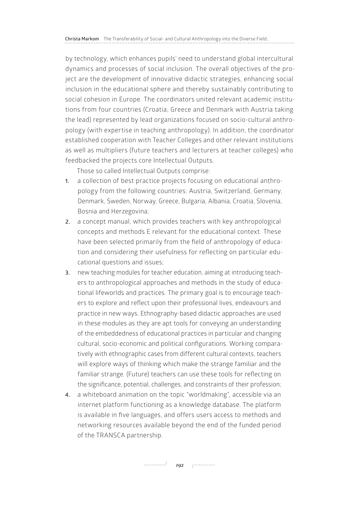by technology, which enhances pupils' need to understand global intercultural dynamics and processes of social inclusion. The overall objectives of the project are the development of innovative didactic strategies, enhancing social inclusion in the educational sphere and thereby sustainably contributing to social cohesion in Europe. The coordinators united relevant academic institutions from four countries (Croatia, Greece and Denmark with Austria taking the lead) represented by lead organizations focused on socio-cultural anthropology (with expertise in teaching anthropology). In addition, the coordinator established cooperation with Teacher Colleges and other relevant institutions as well as multipliers (future teachers and lecturers at teacher colleges) who feedbacked the projects core Intellectual Outputs.

Those so called Intellectual Outputs comprise:

- **1.** a collection of best practice projects focusing on educational anthropology from the following countries: Austria, Switzerland, Germany, Denmark, Sweden, Norway, Greece, Bulgaria, Albania, Croatia, Slovenia, Bosnia and Herzegovina;
- **2.** a concept manual, which provides teachers with key anthropological concepts and methods E relevant for the educational context. These have been selected primarily from the field of anthropology of education and considering their usefulness for reflecting on particular educational questions and issues;
- **3.** new teaching modules for teacher education, aiming at introducing teachers to anthropological approaches and methods in the study of educational lifeworlds and practices. The primary goal is to encourage teachers to explore and reflect upon their professional lives, endeavours and practice in new ways. Ethnography-based didactic approaches are used in these modules as they are apt tools for conveying an understanding of the embeddedness of educational practices in particular and changing cultural, socio-economic and political configurations. Working comparatively with ethnographic cases from different cultural contexts, teachers will explore ways of thinking which make the strange familiar and the familiar strange. (Future) teachers can use these tools for reflecting on the significance, potential, challenges, and constraints of their profession;
- **4.** a whiteboard animation on the topic "worldmaking", accessible via an internet platform functioning as a knowledge database. The platform is available in five languages, and offers users access to methods and networking resources available beyond the end of the funded period of the TRANSCA partnership.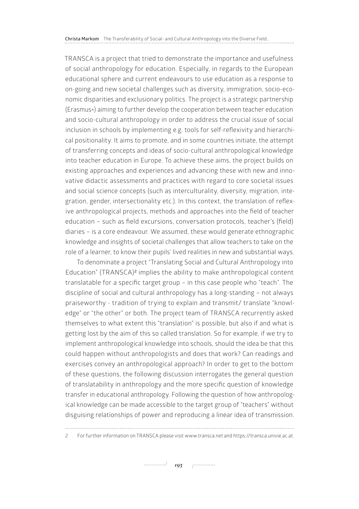**Christa Markom** The Transferability of Social- and Cultural Anthropology into the Diverse Field…

TRANSCA is a project that tried to demonstrate the importance and usefulness of social anthropology for education. Especially, in regards to the European educational sphere and current endeavours to use education as a response to on-going and new societal challenges such as diversity, immigration, socio-economic disparities and exclusionary politics. The project is a strategic partnership (Erasmus+) aiming to further develop the cooperation between teacher education and socio-cultural anthropology in order to address the crucial issue of social inclusion in schools by implementing e.g. tools for self-reflexivity and hierarchical positionality. It aims to promote, and in some countries initiate, the attempt of transferring concepts and ideas of socio-cultural anthropological knowledge into teacher education in Europe. To achieve these aims, the project builds on existing approaches and experiences and advancing these with new and innovative didactic assessments and practices with regard to core societal issues and social science concepts (such as interculturality, diversity, migration, integration, gender, intersectionality etc.). In this context, the translation of reflexive anthropological projects, methods and approaches into the field of teacher education – such as field excursions, conversation protocols, teacher's (field) diaries – is a core endeavour. We assumed, these would generate ethnographic knowledge and insights of societal challenges that allow teachers to take on the role of a learner, to know their pupils' lived realities in new and substantial ways.

To denominate a project "Translating Social and Cultural Anthropology into Education" (TRANSCA)<sup>2</sup> implies the ability to make anthropological content translatable for a specific target group – in this case people who "teach". The discipline of social and cultural anthropology has a long-standing – not always praiseworthy - tradition of trying to explain and transmit/ translate "knowledge" or "the other" or both. The project team of TRANSCA recurrently asked themselves to what extent this "translation" is possible, but also if and what is getting lost by the aim of this so called translation. So for example, if we try to implement anthropological knowledge into schools, should the idea be that this could happen without anthropologists and does that work? Can readings and exercises convey an anthropological approach? In order to get to the bottom of these questions, the following discussion interrogates the general question of translatability in anthropology and the more specific question of knowledge transfer in educational anthropology. Following the question of how anthropological knowledge can be made accessible to the target group of "teachers" without disguising relationships of power and reproducing a linear idea of transmission.

2 For further information on TRANSCA please visit [www.transca.net](http://www.transca.net) and [https://transca.univie.ac.at.](https://transca.univie.ac.at)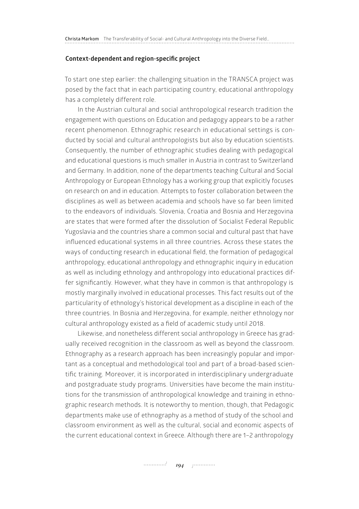#### **Context-dependent and region-specific project**

To start one step earlier: the challenging situation in the TRANSCA project was posed by the fact that in each participating country, educational anthropology has a completely different role.

In the Austrian cultural and social anthropological research tradition the engagement with questions on Education and pedagogy appears to be a rather recent phenomenon. Ethnographic research in educational settings is conducted by social and cultural anthropologists but also by education scientists. Consequently, the number of ethnographic studies dealing with pedagogical and educational questions is much smaller in Austria in contrast to Switzerland and Germany. In addition, none of the departments teaching Cultural and Social Anthropology or European Ethnology has a working group that explicitly focuses on research on and in education. Attempts to foster collaboration between the disciplines as well as between academia and schools have so far been limited to the endeavors of individuals. Slovenia, Croatia and Bosnia and Herzegovina are states that were formed after the dissolution of Socialist Federal Republic Yugoslavia and the countries share a common social and cultural past that have influenced educational systems in all three countries. Across these states the ways of conducting research in educational field, the formation of pedagogical anthropology, educational anthropology and ethnographic inquiry in education as well as including ethnology and anthropology into educational practices differ significantly. However, what they have in common is that anthropology is mostly marginally involved in educational processes. This fact results out of the particularity of ethnology's historical development as a discipline in each of the three countries. In Bosnia and Herzegovina, for example, neither ethnology nor cultural anthropology existed as a field of academic study until 2018.

Likewise, and nonetheless different social anthropology in Greece has gradually received recognition in the classroom as well as beyond the classroom. Ethnography as a research approach has been increasingly popular and important as a conceptual and methodological tool and part of a broad-based scientific training. Moreover, it is incorporated in interdisciplinary undergraduate and postgraduate study programs. Universities have become the main institutions for the transmission of anthropological knowledge and training in ethnographic research methods. It is noteworthy to mention, though, that Pedagogic departments make use of ethnography as a method of study of the school and classroom environment as well as the cultural, social and economic aspects of the current educational context in Greece. Although there are 1–2 anthropology

*194*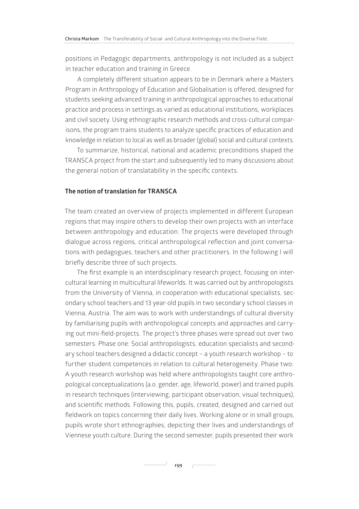positions in Pedagogic departments, anthropology is not included as a subject in teacher education and training in Greece.

A completely different situation appears to be in Denmark where a Masters Program in Anthropology of Education and Globalisation is offered, designed for students seeking advanced training in anthropological approaches to educational practice and process in settings as varied as educational institutions, workplaces and civil society. Using ethnographic research methods and cross-cultural comparisons, the program trains students to analyze specific practices of education and knowledge in relation to local as well as broader (global) social and cultural contexts.

To summarize, historical, national and academic preconditions shaped the TRANSCA project from the start and subsequently led to many discussions about the general notion of translatability in the specific contexts.

# **The notion of translation for TRANSCA**

The team created an overview of projects implemented in different European regions that may inspire others to develop their own projects with an interface between anthropology and education. The projects were developed through dialogue across regions, critical anthropological reflection and joint conversations with pedagogues, teachers and other practitioners. In the following I will briefly describe three of such projects.

The first example is an interdisciplinary research project, focusing on intercultural learning in multicultural lifeworlds. It was carried out by anthropologists from the University of Vienna, in cooperation with educational specialists, secondary school teachers and 13 year-old pupils in two secondary school classes in Vienna, Austria. The aim was to work with understandings of cultural diversity by familiarising pupils with anthropological concepts and approaches and carrying out mini-field-projects. The project's three phases were spread out over two semesters. Phase one: Social anthropologists, education specialists and secondary school teachers designed a didactic concept – a youth research workshop – to further student competences in relation to cultural heterogeneity. Phase two: A youth research workshop was held where anthropologists taught core anthropological conceptualizations (a.o. gender, age, lifeworld, power) and trained pupils in research techniques (interviewing, participant observation, visual techniques), and scientific methods. Following this, pupils, created, designed and carried out fieldwork on topics concerning their daily lives. Working alone or in small groups, pupils wrote short ethnographies, depicting their lives and understandings of Viennese youth culture. During the second semester, pupils presented their work

*195 <i>195 <i>p*<sup>1</sup></sup>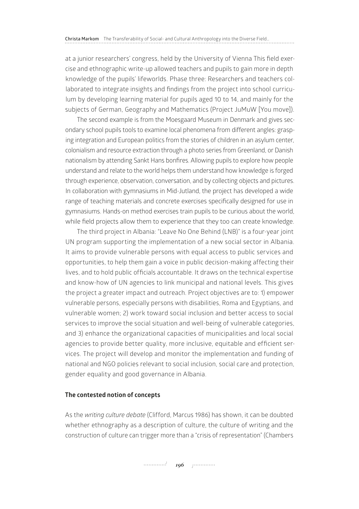at a junior researchers' congress, held by the University of Vienna This field exercise and ethnographic write-up allowed teachers and pupils to gain more in depth knowledge of the pupils' lifeworlds. Phase three: Researchers and teachers collaborated to integrate insights and findings from the project into school curriculum by developing learning material for pupils aged 10 to 14, and mainly for the subjects of German, Geography and Mathematics (Project JuMuW [You move]).

The second example is from the Moesgaard Museum in Denmark and gives secondary school pupils tools to examine local phenomena from different angles: grasping integration and European politics from the stories of children in an asylum center, colonialism and resource extraction through a photo series from Greenland, or Danish nationalism by attending Sankt Hans bonfires. Allowing pupils to explore how people understand and relate to the world helps them understand how knowledge is forged through experience, observation, conversation, and by collecting objects and pictures. In collaboration with gymnasiums in Mid-Jutland, the project has developed a wide range of teaching materials and concrete exercises specifically designed for use in gymnasiums. Hands-on method exercises train pupils to be curious about the world, while field projects allow them to experience that they too can create knowledge.

The third project in Albania: "Leave No One Behind (LNB)" is a four-year joint UN program supporting the implementation of a new social sector in Albania. It aims to provide vulnerable persons with equal access to public services and opportunities, to help them gain a voice in public decision-making affecting their lives, and to hold public officials accountable. It draws on the technical expertise and know-how of UN agencies to link municipal and national levels. This gives the project a greater impact and outreach. Project objectives are to: 1) empower vulnerable persons, especially persons with disabilities, Roma and Egyptians, and vulnerable women; 2) work toward social inclusion and better access to social services to improve the social situation and well-being of vulnerable categories, and 3) enhance the organizational capacities of municipalities and local social agencies to provide better quality, more inclusive, equitable and efficient services. The project will develop and monitor the implementation and funding of national and NGO policies relevant to social inclusion, social care and protection, gender equality and good governance in Albania.

#### **The contested notion of concepts**

As the *writing culture debate* (Clifford, Marcus 1986) has shown, it can be doubted whether ethnography as a description of culture, the culture of writing and the construction of culture can trigger more than a "crisis of representation" (Chambers

*196 romana 196 romana*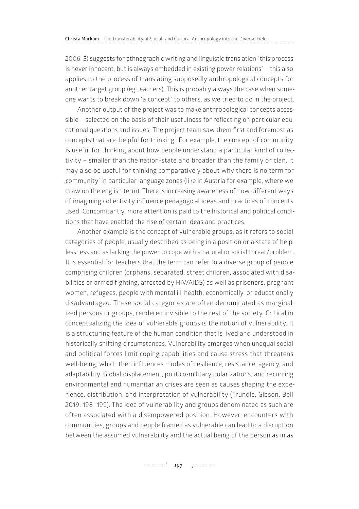2006: 5) suggests for ethnographic writing and linguistic translation "this process is never innocent, but is always embedded in existing power relations" – this also applies to the process of translating supposedly anthropological concepts for another target group (eg teachers). This is probably always the case when someone wants to break down "a concept" to others, as we tried to do in the project.

Another output of the project was to make anthropological concepts accessible – selected on the basis of their usefulness for reflecting on particular educational questions and issues. The project team saw them first and foremost as concepts that are , helpful for thinking'. For example, the concept of community is useful for thinking about how people understand a particular kind of collectivity – smaller than the nation-state and broader than the family or clan. It may also be useful for thinking comparatively about why there is no term for 'community' in particular language zones (like in Austria for example, where we draw on the english term). There is increasing awareness of how different ways of imagining collectivity influence pedagogical ideas and practices of concepts used. Concomitantly, more attention is paid to the historical and political conditions that have enabled the rise of certain ideas and practices.

Another example is the concept of vulnerable groups, as it refers to social categories of people, usually described as being in a position or a state of helplessness and as lacking the power to cope with a natural or social threat/problem. It is essential for teachers that the term can refer to a diverse group of people comprising children (orphans, separated, street children, associated with disabilities or armed fighting, affected by HIV/AIDS) as well as prisoners, pregnant women, refugees, people with mental ill-health, economically, or educationally disadvantaged. These social categories are often denominated as marginalized persons or groups, rendered invisible to the rest of the society. Critical in conceptualizing the idea of vulnerable groups is the notion of vulnerability. It is a structuring feature of the human condition that is lived and understood in historically shifting circumstances. Vulnerability emerges when unequal social and political forces limit coping capabilities and cause stress that threatens well-being, which then influences modes of resilience, resistance, agency, and adaptability. Global displacement, politico-military polarizations, and recurring environmental and humanitarian crises are seen as causes shaping the experience, distribution, and interpretation of vulnerability (Trundle, Gibson, Bell 2019: 198–199). The idea of vulnerability and groups denominated as such are often associated with a disempowered position. However, encounters with communities, groups and people framed as vulnerable can lead to a disruption between the assumed vulnerability and the actual being of the person as in as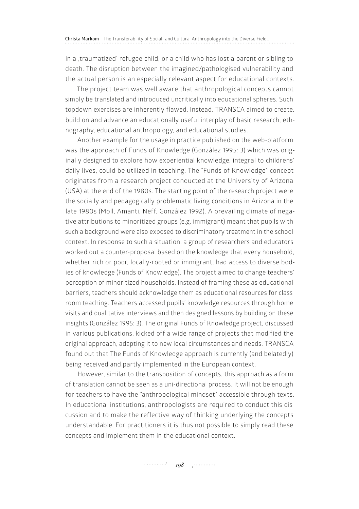in a traumatized' refugee child, or a child who has lost a parent or sibling to death. The disruption between the imagined/pathologised vulnerability and the actual person is an especially relevant aspect for educational contexts.

The project team was well aware that anthropological concepts cannot simply be translated and introduced uncritically into educational spheres. Such topdown exercises are inherently flawed. Instead, TRANSCA aimed to create, build on and advance an educationally useful interplay of basic research, ethnography, educational anthropology, and educational studies.

Another example for the usage in practice published on the web-platform was the approach of Funds of Knowledge (González 1995: 3) which was originally designed to explore how experiential knowledge, integral to childrens' daily lives, could be utilized in teaching. The "Funds of Knowledge" concept originates from a research project conducted at the University of Arizona (USA) at the end of the 1980s. The starting point of the research project were the socially and pedagogically problematic living conditions in Arizona in the late 1980s (Moll, Amanti, Neff, González 1992). A prevailing climate of negative attributions to minoritized groups (e.g. immigrant) meant that pupils with such a background were also exposed to discriminatory treatment in the school context. In response to such a situation, a group of researchers and educators worked out a counter-proposal based on the knowledge that every household, whether rich or poor, locally-rooted or immigrant, had access to diverse bodies of knowledge (Funds of Knowledge). The project aimed to change teachers' perception of minoritized households. Instead of framing these as educational barriers, teachers should acknowledge them as educational resources for classroom teaching. Teachers accessed pupils' knowledge resources through home visits and qualitative interviews and then designed lessons by building on these insights (González 1995: 3). The original Funds of Knowledge project, discussed in various publications, kicked off a wide range of projects that modified the original approach, adapting it to new local circumstances and needs. TRANSCA found out that The Funds of Knowledge approach is currently (and belatedly) being received and partly implemented in the European context.

However, similar to the transposition of concepts, this approach as a form of translation cannot be seen as a uni-directional process. It will not be enough for teachers to have the "anthropological mindset" accessible through texts. In educational institutions, anthropologists are required to conduct this discussion and to make the reflective way of thinking underlying the concepts understandable. For practitioners it is thus not possible to simply read these concepts and implement them in the educational context.

*198*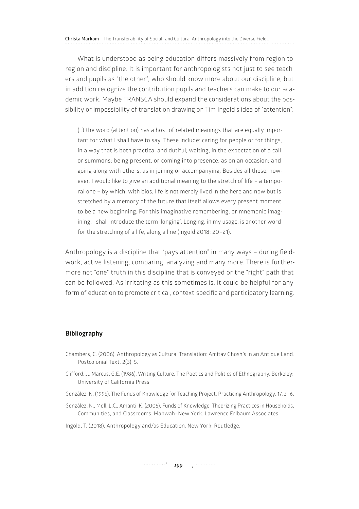What is understood as being education differs massively from region to region and discipline. It is important for anthropologists not just to see teachers and pupils as "the other", who should know more about our discipline, but in addition recognize the contribution pupils and teachers can make to our academic work. Maybe TRANSCA should expand the considerations about the possibility or impossibility of translation drawing on Tim Ingold's idea of "attention":

(…) the word (attention) has a host of related meanings that are equally important for what I shall have to say. These include: caring for people or for things, in a way that is both practical and dutiful; waiting, in the expectation of a call or summons; being present, or coming into presence, as on an occasion; and going along with others, as in joining or accompanying. Besides all these, however, I would like to give an additional meaning to the stretch of life – a temporal one – by which, with bios, life is not merely lived in the here and now but is stretched by a memory of the future that itself allows every present moment to be a new beginning. For this imaginative remembering, or mnemonic imagining, I shall introduce the term 'longing'. Longing, in my usage, is another word for the stretching of a life, along a line (Ingold 2018: 20–21).

Anthropology is a discipline that "pays attention" in many ways – during fieldwork, active listening, comparing, analyzing and many more. There is furthermore not "one" truth in this discipline that is conveyed or the "right" path that can be followed. As irritating as this sometimes is, it could be helpful for any form of education to promote critical, context-specific and participatory learning.

## **Bibliography**

- Chambers, C. (2006). Anthropology as Cultural Translation: Amitav Ghosh's In an Antique Land. Postcolonial Text, 2(3), 5.
- Clifford, J., Marcus, G.E. (1986). Writing Culture. The Poetics and Politics of Ethnography. Berkeley: University of California Press.
- González, N. (1995). The Funds of Knowledge for Teaching Project. Practicing Anthropology, 17, 3–6.
- González, N., Moll, L.C., Amanti, K. (2005). Funds of Knowledge: Theorizing Practices in Households, Communities, and Classrooms. Mahwah–New York: Lawrence Erlbaum Associates.
- Ingold, T. (2018). Anthropology and/as Education. New York: Routledge.